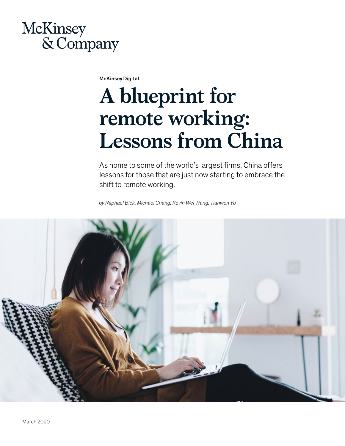# McKinsey & Company

McKinsey Digital

# **A blueprint for remote working: Lessons from China**

As home to some of the world's largest firms, China offers lessons for those that are just now starting to embrace the shift to remote working.

*by Raphael Bick, Michael Chang, Kevin Wei Wang, Tianwen Yu*

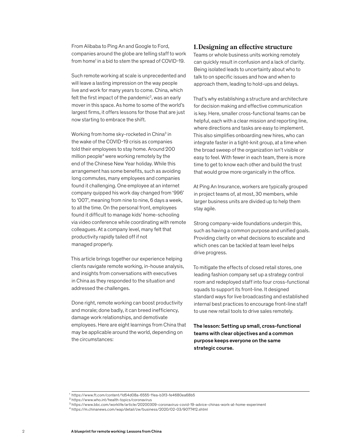From Alibaba to Ping An and Google to Ford, companies around the globe are telling staff to work from home<sup>1</sup> in a bid to stem the spread of COVID-19.

Such remote working at scale is unprecedented and will leave a lasting impression on the way people live and work for many years to come. China, which felt the first impact of the pandemic<sup>2</sup>, was an early mover in this space. As home to some of the world's largest firms, it offers lessons for those that are just now starting to embrace the shift.

Working from home sky-rocketed in China<sup>3</sup> in the wake of the COVID-19 crisis as companies told their employees to stay home. Around 200 million people<sup>4</sup> were working remotely by the end of the Chinese New Year holiday. While this arrangement has some benefits, such as avoiding long commutes, many employees and companies found it challenging. One employee at an internet company quipped his work day changed from '996' to '007', meaning from nine to nine, 6 days a week, to all the time. On the personal front, employees found it difficult to manage kids' home-schooling via video conference while coordinating with remote colleagues. At a company level, many felt that productivity rapidly tailed off if not managed properly.

This article brings together our experience helping clients navigate remote working, in-house analysis, and insights from conversations with executives in China as they responded to the situation and addressed the challenges.

Done right, remote working can boost productivity and morale; done badly, it can breed inefficiency, damage work relationships, and demotivate employees. Here are eight learnings from China that may be applicable around the world, depending on the circumstances:

#### **1.Designing an effective structure**

Teams or whole business units working remotely can quickly result in confusion and a lack of clarity. Being isolated leads to uncertainty about who to talk to on specific issues and how and when to approach them, leading to hold-ups and delays.

That's why establishing a structure and architecture for decision making and effective communication is key. Here, smaller cross-functional teams can be helpful, each with a clear mission and reporting line, where directions and tasks are easy to implement. This also simplifies onboarding new hires, who can integrate faster in a tight-knit group, at a time when the broad sweep of the organization isn't visible or easy to feel. With fewer in each team, there is more time to get to know each other and build the trust that would grow more organically in the office.

At Ping An Insurance, workers are typically grouped in project teams of, at most, 30 members, while larger business units are divided up to help them stay agile.

Strong company-wide foundations underpin this, such as having a common purpose and unified goals. Providing clarity on what decisions to escalate and which ones can be tackled at team level helps drive progress.

To mitigate the effects of closed retail stores, one leading fashion company set up a strategy control room and redeployed staff into four cross-functional squads to support its front-line. It designed standard ways for live broadcasting and established internal best practices to encourage front-line staff to use new retail tools to drive sales remotely.

The lesson: Setting up small, cross-functional teams with clear objectives and a common purpose keeps everyone on the same strategic course.

<sup>1</sup> https://www.ft.com/content/1d54d08a-6555-11ea-b3f3-fe4680ea68b5

<sup>2</sup> https://www.who.int/health-topics/coronavirus

<sup>3</sup> https://www.bbc.com/worklife/article/20200309-coronavirus-covid-19-advice-chinas-work-at-home-experiment

<sup>4</sup> https://m.chinanews.com/wap/detail/zw/business/2020/02-03/9077412.shtml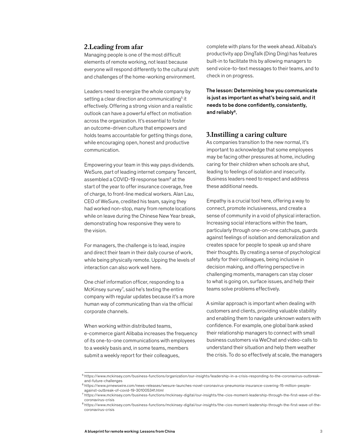#### **2.Leading from afar**

Managing people is one of the most difficult elements of remote working, not least because everyone will respond differently to the cultural shift and challenges of the home-working environment.

Leaders need to energize the whole company by setting a clear direction and communicating<sup>5</sup> it effectively. Offering a strong vision and a realistic outlook can have a powerful effect on motivation across the organization. It's essential to foster an outcome-driven culture that empowers and holds teams accountable for getting things done, while encouraging open, honest and productive communication.

Empowering your team in this way pays dividends. WeSure, part of leading internet company Tencent, assembled a COVID-19 response team<sup>6</sup> at the start of the year to offer insurance coverage, free of charge, to front-line medical workers. Alan Lau, CEO of WeSure, credited his team, saying they had worked non-stop, many from remote locations while on leave during the Chinese New Year break, demonstrating how responsive they were to the vision.

For managers, the challenge is to lead, inspire and direct their team in their daily course of work, while being physically remote. Upping the levels of interaction can also work well here.

One chief information officer, responding to a McKinsey survey<sup>7</sup>, said he's texting the entire company with regular updates because it's a more human way of communicating than via the official corporate channels.

When working within distributed teams, e-commerce giant Alibaba increases the frequency of its one-to-one communications with employees to a weekly basis and, in some teams, members submit a weekly report for their colleagues,

complete with plans for the week ahead. Alibaba's productivity app DingTalk (Ding Ding) has features built-in to facilitate this by allowing managers to send voice-to-text messages to their teams, and to check in on progress.

The lesson: Determining how you communicate is just as important as what's being said, and it needs to be done confidently, consistently, and reliably<sup>8</sup>.

#### **3.Instilling a caring culture**

As companies transition to the new normal, it's important to acknowledge that some employees may be facing other pressures at home, including caring for their children when schools are shut, leading to feelings of isolation and insecurity. Business leaders need to respect and address these additional needs.

Empathy is a crucial tool here, offering a way to connect, promote inclusiveness, and create a sense of community in a void of physical interaction. Increasing social interactions within the team, particularly through one-on-one catchups, guards against feelings of isolation and demoralization and creates space for people to speak up and share their thoughts. By creating a sense of psychological safety for their colleagues, being inclusive in decision making, and offering perspective in challenging moments, managers can stay closer to what is going on, surface issues, and help their teams solve problems effectively.

A similar approach is important when dealing with customers and clients, providing valuable stability and enabling them to navigate unknown waters with confidence. For example, one global bank asked their relationship managers to connect with small business customers via WeChat and video-calls to understand their situation and help them weather the crisis. To do so effectively at scale, the managers

<sup>&</sup>lt;sup>5</sup>https://www.mckinsey.com/business-functions/organization/our-insights/leadership-in-a-crisis-responding-to-the-coronavirus-outbreakand-future-challenges

<sup>6</sup> https://www.prnewswire.com/news-releases/wesure-launches-novel-coronavirus-pneumonia-insurance-covering-15-million-peopleagainst-outbreak-of-covid-19-301005341.html

<sup>7</sup> https://www.mckinsey.com/business-functions/mckinsey-digital/our-insights/the-cios-moment-leadership-through-the-first-wave-of-thecoronavirus-crisis

<sup>8</sup> https://www.mckinsey.com/business-functions/mckinsey-digital/our-insights/the-cios-moment-leadership-through-the-first-wave-of-thecoronavirus-crisis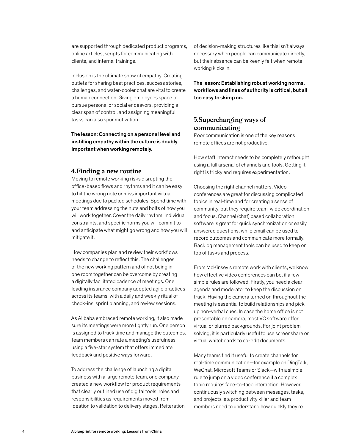are supported through dedicated product programs, online articles, scripts for communicating with clients, and internal trainings.

Inclusion is the ultimate show of empathy. Creating outlets for sharing best practices, success stories, challenges, and water-cooler chat are vital to create a human connection. Giving employees space to pursue personal or social endeavors, providing a clear span of control, and assigning meaningful tasks can also spur motivation.

The lesson: Connecting on a personal level and instilling empathy within the culture is doubly important when working remotely.

#### **4.Finding a new routine**

Moving to remote working risks disrupting the office-based flows and rhythms and it can be easy to hit the wrong note or miss important virtual meetings due to packed schedules. Spend time with your team addressing the nuts and bolts of how you will work together. Cover the daily rhythm, individual constraints, and specific norms you will commit to and anticipate what might go wrong and how you will mitigate it.

How companies plan and review their workflows needs to change to reflect this. The challenges of the new working pattern and of not being in one room together can be overcome by creating a digitally facilitated cadence of meetings. One leading insurance company adopted agile practices across its teams, with a daily and weekly ritual of check-ins, sprint planning, and review sessions.

As Alibaba embraced remote working, it also made sure its meetings were more tightly run. One person is assigned to track time and manage the outcomes. Team members can rate a meeting's usefulness using a five-star system that offers immediate feedback and positive ways forward.

To address the challenge of launching a digital business with a large remote team, one company created a new workflow for product requirements that clearly outlined use of digital tools, roles and responsibilities as requirements moved from ideation to validation to delivery stages. Reiteration of decision-making structures like this isn't always necessary when people can communicate directly, but their absence can be keenly felt when remote working kicks in.

The lesson: Establishing robust working norms, workflows and lines of authority is critical, but all too easy to skimp on.

#### **5.Supercharging ways of communicating**

Poor communication is one of the key reasons remote offices are not productive.

How staff interact needs to be completely rethought using a full arsenal of channels and tools. Getting it right is tricky and requires experimentation.

Choosing the right channel matters. Video conferences are great for discussing complicated topics in real-time and for creating a sense of community, but they require team-wide coordination and focus. Channel (chat) based collaboration software is great for quick synchronization or easily answered questions, while email can be used to record outcomes and communicate more formally. Backlog management tools can be used to keep on top of tasks and process.

From McKinsey's remote work with clients, we know how effective video conferences can be, if a few simple rules are followed. Firstly, you need a clear agenda and moderator to keep the discussion on track. Having the camera turned on throughout the meeting is essential to build relationships and pick up non-verbal cues. In case the home office is not presentable on camera, most VC software offer virtual or blurred backgrounds. For joint problem solving, it is particularly useful to use screenshare or virtual whiteboards to co-edit documents.

Many teams find it useful to create channels for real-time communication—for example on DingTalk, WeChat, Microsoft Teams or Slack—with a simple rule to jump on a video conference if a complex topic requires face-to-face interaction. However, continuously switching between messages, tasks, and projects is a productivity killer and team members need to understand how quickly they're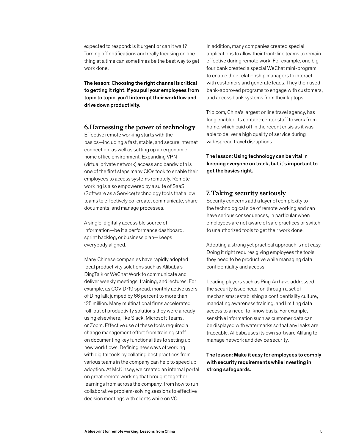expected to respond: is it urgent or can it wait? Turning off notifications and really focusing on one thing at a time can sometimes be the best way to get work done.

The lesson: Choosing the right channel is critical to getting it right. If you pull your employees from topic to topic, you'll interrupt their workflow and drive down productivity.

#### **6.Harnessing the power of technology**

Effective remote working starts with the basics—including a fast, stable, and secure internet connection, as well as setting up an ergonomic home office environment. Expanding VPN (virtual private network) access and bandwidth is one of the first steps many CIOs took to enable their employees to access systems remotely. Remote working is also empowered by a suite of SaaS (Software as a Service) technology tools that allow teams to effectively co-create, communicate, share documents, and manage processes.

A single, digitally accessible source of information—be it a performance dashboard, sprint backlog, or business plan—keeps everybody aligned.

Many Chinese companies have rapidly adopted local productivity solutions such as Alibaba's DingTalk or WeChat Work to communicate and deliver weekly meetings, training, and lectures. For example, as COVID-19 spread, monthly active users of DingTalk jumped by 66 percent to more than 125 million. Many multinational firms accelerated roll-out of productivity solutions they were already using elsewhere, like Slack, Microsoft Teams, or Zoom. Effective use of these tools required a change management effort from training staff on documenting key functionalities to setting up new workflows. Defining new ways of working with digital tools by collating best practices from various teams in the company can help to speed up adoption. At McKinsey, we created an internal portal on great remote working that brought together learnings from across the company, from how to run collaborative problem-solving sessions to effective decision meetings with clients while on VC.

In addition, many companies created special applications to allow their front-line teams to remain effective during remote work. For example, one bigfour bank created a special WeChat mini-program to enable their relationship managers to interact with customers and generate leads. They then used bank-approved programs to engage with customers, and access bank systems from their laptops.

Trip.com, China's largest online travel agency, has long enabled its contact-center staff to work from home, which paid off in the recent crisis as it was able to deliver a high quality of service during widespread travel disruptions.

The lesson: Using technology can be vital in keeping everyone on track, but it's important to get the basics right.

#### **7.Taking security seriously**

Security concerns add a layer of complexity to the technological side of remote working and can have serious consequences, in particular when employees are not aware of safe practices or switch to unauthorized tools to get their work done.

Adopting a strong yet practical approach is not easy. Doing it right requires giving employees the tools they need to be productive while managing data confidentiality and access.

Leading players such as Ping An have addressed the security issue head-on through a set of mechanisms: establishing a confidentiality culture, mandating awareness training, and limiting data access to a need-to-know basis. For example, sensitive information such as customer data can be displayed with watermarks so that any leaks are traceable. Alibaba uses its own software Alilang to manage network and device security.

The lesson: Make it easy for employees to comply with security requirements while investing in strong safeguards.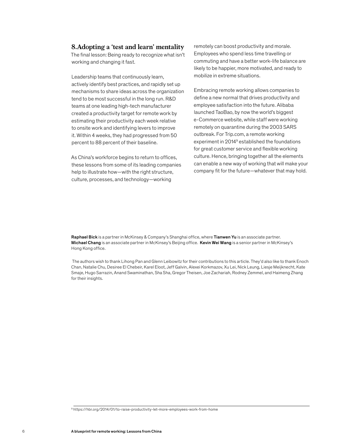#### **8.Adopting a 'test and learn' mentality**

The final lesson: Being ready to recognize what isn't working and changing it fast.

Leadership teams that continuously learn, actively identify best practices, and rapidly set up mechanisms to share ideas across the organization tend to be most successful in the long run. R&D teams at one leading high-tech manufacturer created a productivity target for remote work by estimating their productivity each week relative to onsite work and identifying levers to improve it. Within 4 weeks, they had progressed from 50 percent to 88 percent of their baseline.

As China's workforce begins to return to offices, these lessons from some of its leading companies help to illustrate how—with the right structure, culture, processes, and technology—working

remotely can boost productivity and morale. Employees who spend less time travelling or commuting and have a better work-life balance are likely to be happier, more motivated, and ready to mobilize in extreme situations.

Embracing remote working allows companies to define a new normal that drives productivity and employee satisfaction into the future. Alibaba launched TaoBao, by now the world's biggest e-Commerce website, while staff were working remotely on quarantine during the 2003 SARS outbreak. For Trip.com, a remote working experiment in 2014<sup>9</sup> established the foundations for great customer service and flexible working culture. Hence, bringing together all the elements can enable a new way of working that will make your company fit for the future—whatever that may hold.

Raphael Bick is a partner in McKinsey & Company's Shanghai office, where Tianwen Yu is an associate partner. Michael Chang is an associate partner in McKinsey's Beijing office. Kevin Wei Wang is a senior partner in McKinsey's Hong Kong office.

 The authors wish to thank Lihong Pan and Glenn Leibowitz for their contributions to this article. They'd also like to thank Enoch Chan, Natalie Chu, Desiree El Chebeir, Karel Eloot, Jeff Galvin, Alexei Korkmazov, Xu Lei, Nick Leung, Liesje Meijknecht, Kate Smaje, Hugo Sarrazin, Anand Swaminathan, Sha Sha, Gregor Theisen, Joe Zachariah, Rodney Zemmel, and Haimeng Zhang for their insights.

<sup>9</sup> https://hbr.org/2014/01/to-raise-productivity-let-more-employees-work-from-home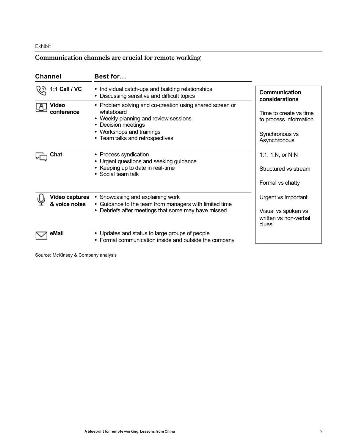#### Exhibit 1

## **Communication channels are crucial for remote working**

| <b>Channel</b>                         | Best for                                                                                                                                                                                               |                                                                                    |
|----------------------------------------|--------------------------------------------------------------------------------------------------------------------------------------------------------------------------------------------------------|------------------------------------------------------------------------------------|
| 1:1 Call / VC                          | • Individual catch-ups and building relationships<br>• Discussing sensitive and difficult topics                                                                                                       | <b>Communication</b><br>considerations                                             |
| Video<br>conference                    | • Problem solving and co-creation using shared screen or<br>whiteboard<br>• Weekly planning and review sessions<br>• Decision meetings<br>• Workshops and trainings<br>• Team talks and retrospectives | Time to create vs time<br>to process information<br>Synchronous vs<br>Asynchronous |
| Chat                                   | • Process syndication<br>• Urgent questions and seeking guidance<br>• Keeping up to date in real-time<br>• Social team talk                                                                            | 1:1, 1:N, or N:N<br>Structured vs stream<br>Formal vs chatty                       |
| <b>Video captures</b><br>& voice notes | • Showcasing and explaining work<br>• Guidance to the team from managers with limited time<br>• Debriefs after meetings that some may have missed                                                      | Urgent vs important<br>Visual vs spoken vs<br>written vs non-verbal<br>clues       |
| eMail                                  | • Updates and status to large groups of people<br>• Formal communication inside and outside the company                                                                                                |                                                                                    |

Source: McKinsey & Company analysis